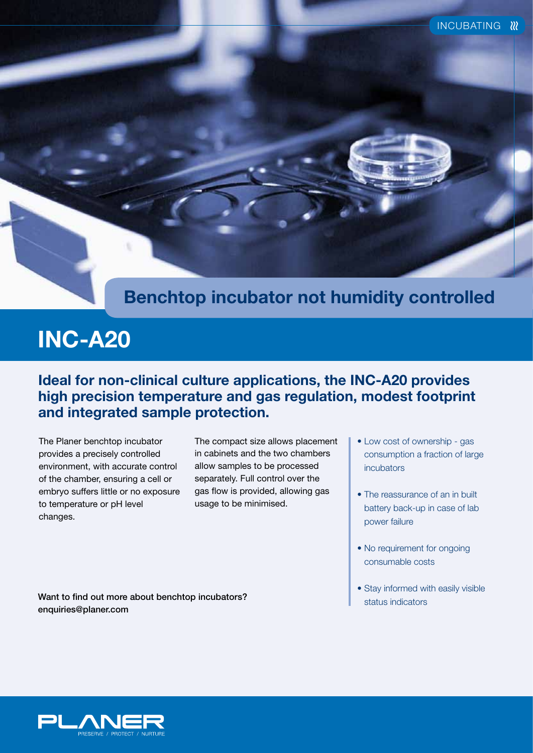### **Benchtop incubator not humidity controlled**

# **INC-A20**

### **Ideal for non-clinical culture applications, the INC-A20 provides high precision temperature and gas regulation, modest footprint and integrated sample protection.**

The Planer benchtop incubator provides a precisely controlled environment, with accurate control of the chamber, ensuring a cell or embryo suffers little or no exposure to temperature or pH level changes.

The compact size allows placement in cabinets and the two chambers allow samples to be processed separately. Full control over the gas flow is provided, allowing gas usage to be minimised.

- Low cost of ownership gas consumption a fraction of large incubators
- The reassurance of an in built battery back-up in case of lab power failure
- No requirement for ongoing consumable costs
- Stay informed with easily visible

Want to find out more about benchtop incubators? enquiries@planer.com